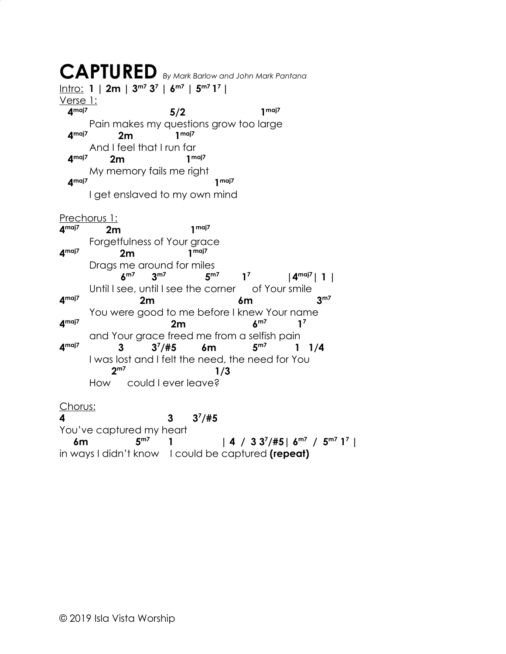## **CAPTURED** *By Mark Barlow and John Mark Pantana* Intro: **1 | 2m | 3m7 3<sup>7</sup> | 6m7 | 5m7 1 <sup>7</sup> |** Verse 1: **4maj7**  $5/2$  1<sup>maj7</sup> Pain makes my questions grow too large  **4maj7**  $2m$   $1^{maj7}$ And I feel that I run far  **4maj7 2m 1maj7** My memory fails me right  **4maj7 1maj7** I get enslaved to my own mind Prechorus 1: **4maj7 2m 1maj7** Forgetfulness of Your grace **4maj7 2m 1maj7** Drags me around for miles  **6m7 3m7 5m7 1<sup>7</sup> |4maj7| 1 |** Until I see, until I see the corner of Your smile **4maj7 2m** 6m 3<sup>m7</sup> You were good to me before I knew Your name **4maj7 2m 6m7**  $6^{m7}$  1<sup>7</sup> and Your grace freed me from a selfish pain **4maj7** 3  $3^7/#5$  6m  $5^{m7}$  **1 1/4** I was lost and I felt the need, the need for You  **2m7 1/3** How could I ever leave? Chorus: **4 3 3<sup>7</sup>/#5** You've captured my heart  **6m 5m7 1**  $\left| 4 / 3 \frac{3^7}{15} \right| 6^{m^7} / 5^{m^7} 1^7$ in ways I didn't know I could be captured **(repeat)**